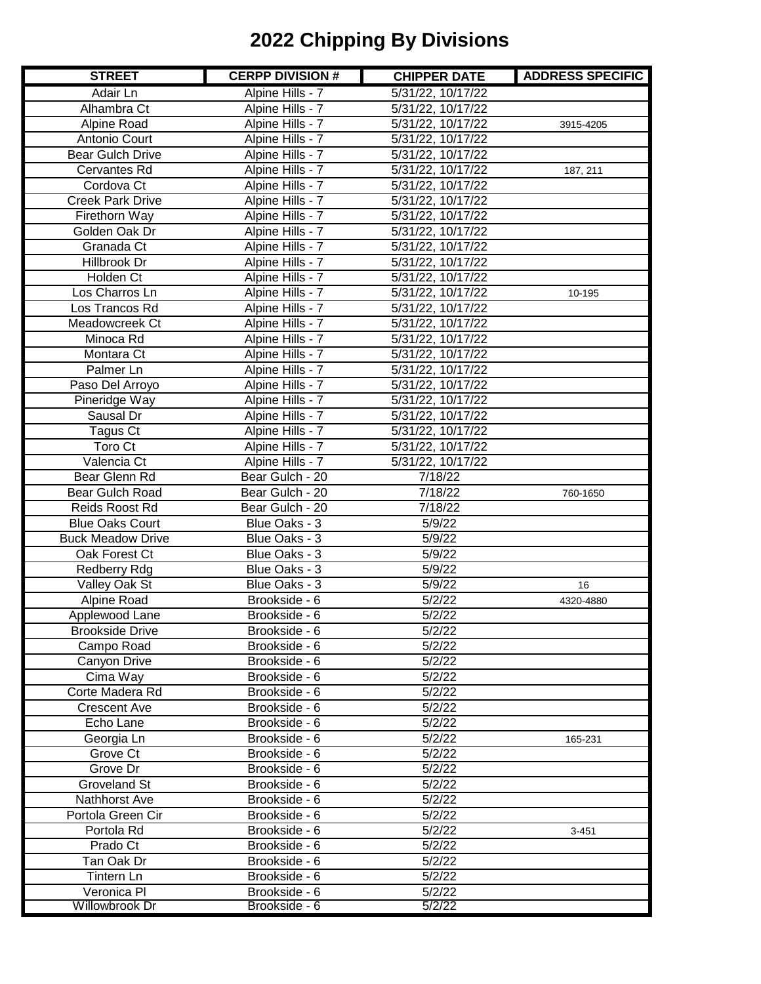| <b>STREET</b>            | <b>CERPP DIVISION #</b> | <b>CHIPPER DATE</b> | <b>ADDRESS SPECIFIC</b> |
|--------------------------|-------------------------|---------------------|-------------------------|
| Adair Ln                 | Alpine Hills - 7        | 5/31/22, 10/17/22   |                         |
| Alhambra Ct              | Alpine Hills - 7        | 5/31/22, 10/17/22   |                         |
| Alpine Road              | Alpine Hills - 7        | 5/31/22, 10/17/22   | 3915-4205               |
| Antonio Court            | Alpine Hills - 7        | 5/31/22, 10/17/22   |                         |
| <b>Bear Gulch Drive</b>  | Alpine Hills - 7        | 5/31/22, 10/17/22   |                         |
| Cervantes Rd             | Alpine Hills - 7        | 5/31/22, 10/17/22   | 187, 211                |
| Cordova Ct               | Alpine Hills - 7        | 5/31/22, 10/17/22   |                         |
| <b>Creek Park Drive</b>  | Alpine Hills - 7        | 5/31/22, 10/17/22   |                         |
| Firethorn Way            | Alpine Hills - 7        | 5/31/22, 10/17/22   |                         |
| Golden Oak Dr            | Alpine Hills - 7        | 5/31/22, 10/17/22   |                         |
| Granada Ct               | Alpine Hills - 7        | 5/31/22, 10/17/22   |                         |
| Hillbrook Dr             | Alpine Hills - 7        | 5/31/22, 10/17/22   |                         |
| Holden Ct                | Alpine Hills - 7        | 5/31/22, 10/17/22   |                         |
| Los Charros Ln           | Alpine Hills - 7        | 5/31/22, 10/17/22   | 10-195                  |
| Los Trancos Rd           | Alpine Hills - 7        | 5/31/22, 10/17/22   |                         |
| Meadowcreek Ct           | Alpine Hills - 7        | 5/31/22, 10/17/22   |                         |
| Minoca Rd                | Alpine Hills - 7        | 5/31/22, 10/17/22   |                         |
| Montara Ct               | Alpine Hills - 7        | 5/31/22, 10/17/22   |                         |
| Palmer Ln                | Alpine Hills - 7        | 5/31/22, 10/17/22   |                         |
| Paso Del Arroyo          | Alpine Hills - 7        | 5/31/22, 10/17/22   |                         |
| Pineridge Way            | Alpine Hills - 7        | 5/31/22, 10/17/22   |                         |
| Sausal Dr                | Alpine Hills - 7        | 5/31/22, 10/17/22   |                         |
| Tagus Ct                 | Alpine Hills - 7        | 5/31/22, 10/17/22   |                         |
| Toro Ct                  | Alpine Hills - 7        | 5/31/22, 10/17/22   |                         |
| Valencia Ct              | Alpine Hills - 7        | 5/31/22, 10/17/22   |                         |
| Bear Glenn Rd            | Bear Gulch - 20         | 7/18/22             |                         |
| Bear Gulch Road          | Bear Gulch - 20         | 7/18/22             | 760-1650                |
| Reids Roost Rd           | Bear Gulch - 20         | 7/18/22             |                         |
| <b>Blue Oaks Court</b>   | Blue Oaks - 3           | 5/9/22              |                         |
| <b>Buck Meadow Drive</b> | Blue Oaks - 3           | 5/9/22              |                         |
| Oak Forest Ct            | Blue Oaks - 3           | 5/9/22              |                         |
| <b>Redberry Rdg</b>      | Blue Oaks - 3           | 5/9/22              |                         |
| Valley Oak St            | Blue Oaks - 3           | 5/9/22              | 16                      |
| Alpine Road              | Brookside - 6           | 5/2/22              | 4320-4880               |
| Applewood Lane           | Brookside - 6           | 5/2/22              |                         |
| <b>Brookside Drive</b>   | Brookside - 6           | 5/2/22              |                         |
| Campo Road               | Brookside - 6           | 5/2/22              |                         |
| Canyon Drive             | Brookside - 6           | 5/2/22              |                         |
| Cima Way                 | Brookside - 6           | 5/2/22              |                         |
| Corte Madera Rd          | Brookside - 6           | 5/2/22              |                         |
| Crescent Ave             | Brookside - 6           | 5/2/22              |                         |
| Echo Lane                | Brookside - 6           | 5/2/22              |                         |
| Georgia Ln               | Brookside - 6           | 5/2/22              | 165-231                 |
| Grove Ct                 | Brookside - 6           | 5/2/22              |                         |
| Grove Dr                 | Brookside - 6           | 5/2/22              |                         |
| <b>Groveland St</b>      | Brookside - 6           | 5/2/22              |                         |
| Nathhorst Ave            | Brookside - 6           | 5/2/22              |                         |
| Portola Green Cir        | Brookside - 6           | 5/2/22              |                         |
| Portola Rd               | Brookside - 6           | 5/2/22              | $3 - 451$               |
| Prado Ct                 | Brookside - 6           | 5/2/22              |                         |
| Tan Oak Dr               | Brookside - 6           | 5/2/22              |                         |
| Tintern Ln               | Brookside - 6           | 5/2/22              |                         |
| Veronica PI              | Brookside - 6           | 5/2/22              |                         |
| Willowbrook Dr           | Brookside - 6           | 5/2/22              |                         |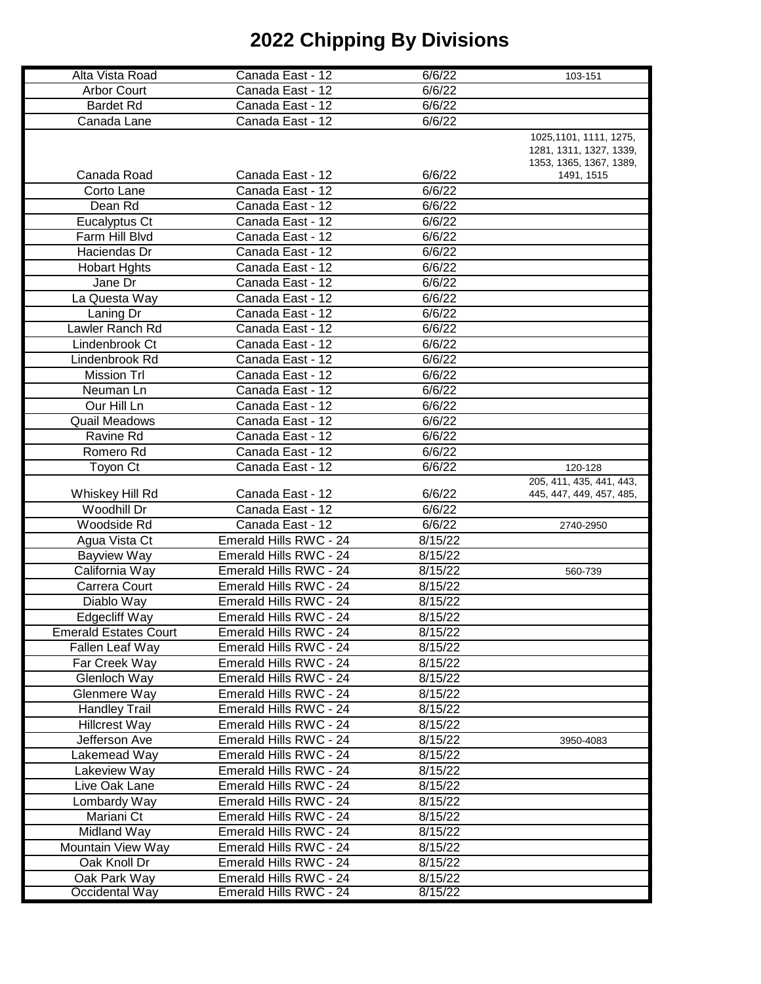|                              |                        | 6/6/22  |                          |
|------------------------------|------------------------|---------|--------------------------|
| Alta Vista Road              | Canada East - 12       |         | 103-151                  |
| <b>Arbor Court</b>           | Canada East - 12       | 6/6/22  |                          |
| <b>Bardet Rd</b>             | Canada East - 12       | 6/6/22  |                          |
| Canada Lane                  | Canada East - 12       | 6/6/22  |                          |
|                              |                        |         | 1025, 1101, 1111, 1275,  |
|                              |                        |         | 1281, 1311, 1327, 1339,  |
|                              |                        |         | 1353, 1365, 1367, 1389,  |
| Canada Road                  | Canada East - 12       | 6/6/22  | 1491, 1515               |
| Corto Lane                   | Canada East - 12       | 6/6/22  |                          |
| Dean Rd                      | Canada East - 12       | 6/6/22  |                          |
| Eucalyptus Ct                | Canada East - 12       | 6/6/22  |                          |
| Farm Hill Blvd               | Canada East - 12       | 6/6/22  |                          |
| Haciendas Dr                 | Canada East - 12       | 6/6/22  |                          |
| <b>Hobart Hghts</b>          | Canada East - 12       | 6/6/22  |                          |
|                              |                        |         |                          |
| Jane Dr                      | Canada East - 12       | 6/6/22  |                          |
| La Questa Way                | Canada East - 12       | 6/6/22  |                          |
| Laning Dr                    | Canada East - 12       | 6/6/22  |                          |
| Lawler Ranch Rd              | Canada East - 12       | 6/6/22  |                          |
| Lindenbrook Ct               | Canada East - 12       | 6/6/22  |                          |
| Lindenbrook Rd               | Canada East - 12       | 6/6/22  |                          |
| <b>Mission Trl</b>           | Canada East - 12       | 6/6/22  |                          |
| Neuman Ln                    | Canada East - 12       | 6/6/22  |                          |
| Our Hill Ln                  | Canada East - 12       | 6/6/22  |                          |
| <b>Quail Meadows</b>         | Canada East - 12       | 6/6/22  |                          |
| Ravine Rd                    | Canada East - 12       | 6/6/22  |                          |
|                              |                        |         |                          |
| Romero Rd                    | Canada East - 12       | 6/6/22  |                          |
| Toyon Ct                     | Canada East - 12       | 6/6/22  | 120-128                  |
|                              |                        |         | 205, 411, 435, 441, 443, |
| Whiskey Hill Rd              | Canada East - 12       | 6/6/22  | 445, 447, 449, 457, 485, |
| Woodhill Dr                  | Canada East - 12       | 6/6/22  |                          |
| Woodside Rd                  | Canada East - 12       | 6/6/22  | 2740-2950                |
| Agua Vista Ct                | Emerald Hills RWC - 24 | 8/15/22 |                          |
| <b>Bayview Way</b>           | Emerald Hills RWC - 24 | 8/15/22 |                          |
| California Way               | Emerald Hills RWC - 24 | 8/15/22 | 560-739                  |
| Carrera Court                | Emerald Hills RWC - 24 | 8/15/22 |                          |
| Diablo Way                   | Emerald Hills RWC - 24 | 8/15/22 |                          |
| <b>Edgecliff Way</b>         | Emerald Hills RWC - 24 | 8/15/22 |                          |
| <b>Emerald Estates Court</b> | Emerald Hills RWC - 24 | 8/15/22 |                          |
| Fallen Leaf Way              | Emerald Hills RWC - 24 | 8/15/22 |                          |
| Far Creek Way                | Emerald Hills RWC - 24 | 8/15/22 |                          |
| Glenloch Way                 | Emerald Hills RWC - 24 | 8/15/22 |                          |
| Glenmere Way                 | Emerald Hills RWC - 24 | 8/15/22 |                          |
|                              |                        |         |                          |
| <b>Handley Trail</b>         | Emerald Hills RWC - 24 | 8/15/22 |                          |
| <b>Hillcrest Way</b>         | Emerald Hills RWC - 24 | 8/15/22 |                          |
| Jefferson Ave                | Emerald Hills RWC - 24 | 8/15/22 | 3950-4083                |
| Lakemead Way                 | Emerald Hills RWC - 24 | 8/15/22 |                          |
| Lakeview Way                 | Emerald Hills RWC - 24 | 8/15/22 |                          |
| Live Oak Lane                | Emerald Hills RWC - 24 | 8/15/22 |                          |
| Lombardy Way                 | Emerald Hills RWC - 24 | 8/15/22 |                          |
| Mariani Ct                   | Emerald Hills RWC - 24 | 8/15/22 |                          |
| Midland Way                  | Emerald Hills RWC - 24 | 8/15/22 |                          |
| Mountain View Way            | Emerald Hills RWC - 24 | 8/15/22 |                          |
| Oak Knoll Dr                 | Emerald Hills RWC - 24 | 8/15/22 |                          |
| Oak Park Way                 | Emerald Hills RWC - 24 | 8/15/22 |                          |
| Occidental Way               | Emerald Hills RWC - 24 | 8/15/22 |                          |
|                              |                        |         |                          |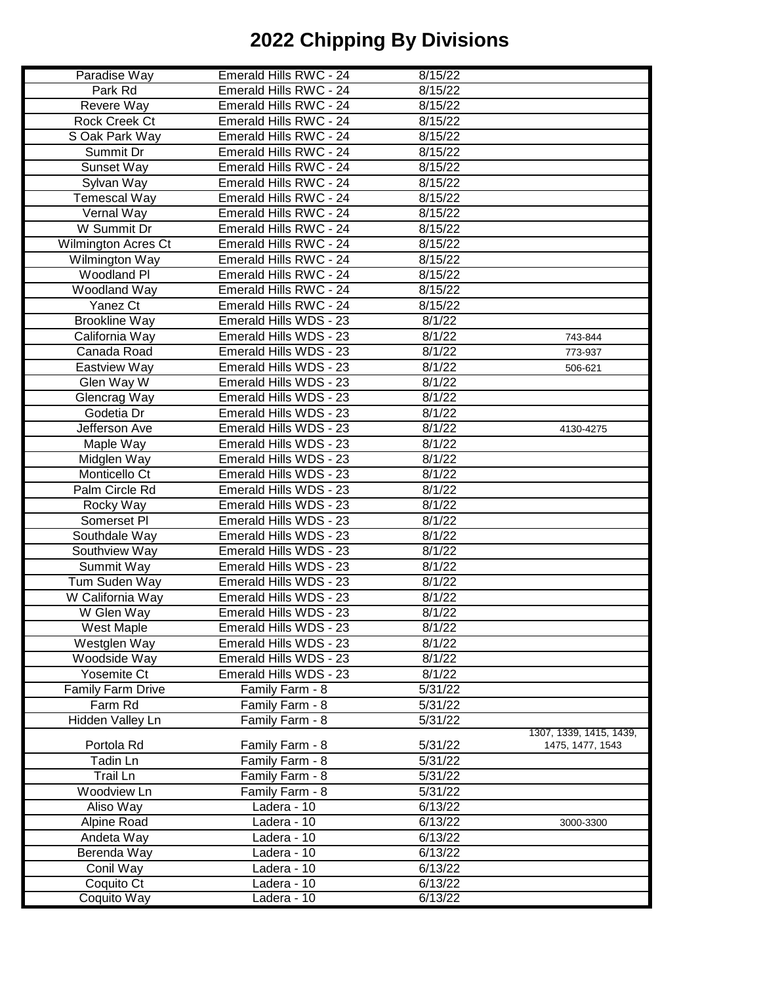| Paradise Way               | Emerald Hills RWC - 24 | 8/15/22 |                         |
|----------------------------|------------------------|---------|-------------------------|
|                            |                        | 8/15/22 |                         |
| Park Rd                    | Emerald Hills RWC - 24 |         |                         |
| Revere Way                 | Emerald Hills RWC - 24 | 8/15/22 |                         |
| Rock Creek Ct              | Emerald Hills RWC - 24 | 8/15/22 |                         |
| S Oak Park Way             | Emerald Hills RWC - 24 | 8/15/22 |                         |
| Summit Dr                  | Emerald Hills RWC - 24 | 8/15/22 |                         |
| Sunset Way                 | Emerald Hills RWC - 24 | 8/15/22 |                         |
| Sylvan Way                 | Emerald Hills RWC - 24 | 8/15/22 |                         |
| <b>Temescal Way</b>        | Emerald Hills RWC - 24 | 8/15/22 |                         |
| Vernal Way                 | Emerald Hills RWC - 24 | 8/15/22 |                         |
| W Summit Dr                | Emerald Hills RWC - 24 | 8/15/22 |                         |
| <b>Wilmington Acres Ct</b> | Emerald Hills RWC - 24 | 8/15/22 |                         |
| Wilmington Way             | Emerald Hills RWC - 24 | 8/15/22 |                         |
| Woodland Pl                | Emerald Hills RWC - 24 | 8/15/22 |                         |
| Woodland Way               | Emerald Hills RWC - 24 | 8/15/22 |                         |
| Yanez Ct                   | Emerald Hills RWC - 24 | 8/15/22 |                         |
| <b>Brookline Way</b>       | Emerald Hills WDS - 23 | 8/1/22  |                         |
| California Way             | Emerald Hills WDS - 23 | 8/1/22  | 743-844                 |
| Canada Road                | Emerald Hills WDS - 23 | 8/1/22  |                         |
|                            |                        |         | 773-937                 |
| <b>Eastview Way</b>        | Emerald Hills WDS - 23 | 8/1/22  | 506-621                 |
| Glen Way W                 | Emerald Hills WDS - 23 | 8/1/22  |                         |
| Glencrag Way               | Emerald Hills WDS - 23 | 8/1/22  |                         |
| Godetia Dr                 | Emerald Hills WDS - 23 | 8/1/22  |                         |
| Jefferson Ave              | Emerald Hills WDS - 23 | 8/1/22  | 4130-4275               |
| Maple Way                  | Emerald Hills WDS - 23 | 8/1/22  |                         |
| Midglen Way                | Emerald Hills WDS - 23 | 8/1/22  |                         |
| Monticello Ct              | Emerald Hills WDS - 23 | 8/1/22  |                         |
| Palm Circle Rd             | Emerald Hills WDS - 23 | 8/1/22  |                         |
| Rocky Way                  | Emerald Hills WDS - 23 | 8/1/22  |                         |
| Somerset PI                | Emerald Hills WDS - 23 | 8/1/22  |                         |
| Southdale Way              | Emerald Hills WDS - 23 | 8/1/22  |                         |
| Southview Way              | Emerald Hills WDS - 23 | 8/1/22  |                         |
| Summit Way                 | Emerald Hills WDS - 23 | 8/1/22  |                         |
| Tum Suden Way              | Emerald Hills WDS - 23 | 8/1/22  |                         |
| W California Way           | Emerald Hills WDS - 23 | 8/1/22  |                         |
| W Glen Way                 | Emerald Hills WDS - 23 | 8/1/22  |                         |
| West Maple                 | Emerald Hills WDS - 23 | 8/1/22  |                         |
| Westglen Way               | Emerald Hills WDS - 23 | 8/1/22  |                         |
| Woodside Way               | Emerald Hills WDS - 23 | 8/1/22  |                         |
| Yosemite Ct                | Emerald Hills WDS - 23 | 8/1/22  |                         |
| Family Farm Drive          | Family Farm - 8        | 5/31/22 |                         |
| Farm Rd                    | Family Farm - 8        | 5/31/22 |                         |
| Hidden Valley Ln           | Family Farm - 8        | 5/31/22 |                         |
|                            |                        |         | 1307, 1339, 1415, 1439, |
| Portola Rd                 | Family Farm - 8        | 5/31/22 | 1475, 1477, 1543        |
| Tadin Ln                   | Family Farm - 8        | 5/31/22 |                         |
| Trail Ln                   | Family Farm - 8        | 5/31/22 |                         |
| Woodview Ln                | Family Farm - 8        | 5/31/22 |                         |
| Aliso Way                  | Ladera - 10            | 6/13/22 |                         |
| Alpine Road                | Ladera - 10            | 6/13/22 | 3000-3300               |
| Andeta Way                 | Ladera - 10            | 6/13/22 |                         |
| Berenda Way                | Ladera - 10            | 6/13/22 |                         |
| Conil Way                  | Ladera - 10            | 6/13/22 |                         |
|                            |                        |         |                         |
| Coquito Ct                 | Ladera - 10            | 6/13/22 |                         |
| Coquito Way                | Ladera - 10            | 6/13/22 |                         |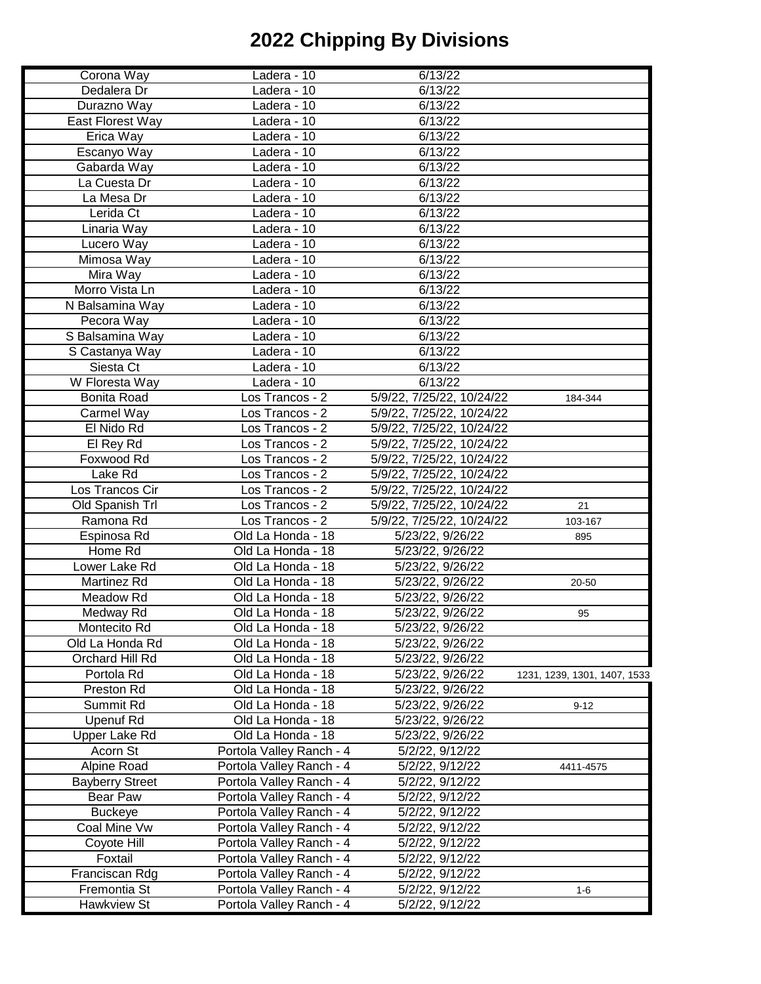| Corona Way             | Ladera - 10              | 6/13/22                   |                              |
|------------------------|--------------------------|---------------------------|------------------------------|
| Dedalera Dr            | Ladera - 10              | 6/13/22                   |                              |
| Durazno Way            | Ladera - 10              | 6/13/22                   |                              |
| East Florest Way       | Ladera - 10              | 6/13/22                   |                              |
| Erica Way              | Ladera - 10              | 6/13/22                   |                              |
| Escanyo Way            | Ladera - 10              | 6/13/22                   |                              |
|                        |                          |                           |                              |
| Gabarda Way            | Ladera - 10              | 6/13/22                   |                              |
| La Cuesta Dr           | Ladera - 10              | 6/13/22                   |                              |
| La Mesa Dr             | Ladera - 10              | 6/13/22                   |                              |
| Lerida Ct              | Ladera - 10              | 6/13/22                   |                              |
| Linaria Way            | Ladera - 10              | 6/13/22                   |                              |
| Lucero Way             | Ladera - 10              | 6/13/22                   |                              |
| Mimosa Way             | Ladera - 10              | 6/13/22                   |                              |
| Mira Way               | Ladera - 10              | 6/13/22                   |                              |
| Morro Vista Ln         | Ladera - 10              | 6/13/22                   |                              |
| N Balsamina Way        | Ladera - 10              | 6/13/22                   |                              |
| Pecora Way             | Ladera - 10              | 6/13/22                   |                              |
| S Balsamina Way        | Ladera - 10              | 6/13/22                   |                              |
| S Castanya Way         | Ladera - 10              | 6/13/22                   |                              |
| Siesta Ct              | Ladera - 10              | 6/13/22                   |                              |
| W Floresta Way         | Ladera - 10              | 6/13/22                   |                              |
| <b>Bonita Road</b>     | Los Trancos - 2          | 5/9/22, 7/25/22, 10/24/22 | 184-344                      |
| Carmel Way             | Los Trancos - 2          | 5/9/22, 7/25/22, 10/24/22 |                              |
| El Nido Rd             | Los Trancos - 2          | 5/9/22, 7/25/22, 10/24/22 |                              |
| El Rey Rd              | Los Trancos - 2          | 5/9/22, 7/25/22, 10/24/22 |                              |
| Foxwood Rd             | Los Trancos - 2          | 5/9/22, 7/25/22, 10/24/22 |                              |
| Lake Rd                | Los Trancos - 2          | 5/9/22, 7/25/22, 10/24/22 |                              |
| Los Trancos Cir        | Los Trancos - 2          | 5/9/22, 7/25/22, 10/24/22 |                              |
| Old Spanish Trl        | Los Trancos - 2          | 5/9/22, 7/25/22, 10/24/22 | 21                           |
| Ramona Rd              | Los Trancos - 2          | 5/9/22, 7/25/22, 10/24/22 | 103-167                      |
| Espinosa Rd            | Old La Honda - 18        | 5/23/22, 9/26/22          | 895                          |
| Home Rd                | Old La Honda - 18        | 5/23/22, 9/26/22          |                              |
| Lower Lake Rd          | Old La Honda - 18        | 5/23/22, 9/26/22          |                              |
| Martinez Rd            | Old La Honda - 18        | 5/23/22, 9/26/22          | 20-50                        |
| Meadow Rd              | Old La Honda - 18        | 5/23/22, 9/26/22          |                              |
| Medway Rd              | Old La Honda - 18        | 5/23/22, 9/26/22          | 95                           |
| Montecito Rd           | Old La Honda - 18        | 5/23/22, 9/26/22          |                              |
| Old La Honda Rd        | Old La Honda - 18        | 5/23/22, 9/26/22          |                              |
| Orchard Hill Rd        | Old La Honda - 18        | 5/23/22, 9/26/22          |                              |
| Portola Rd             | Old La Honda - 18        | 5/23/22, 9/26/22          | 1231, 1239, 1301, 1407, 1533 |
| Preston Rd             | Old La Honda - 18        | 5/23/22, 9/26/22          |                              |
| Summit Rd              | Old La Honda - 18        | 5/23/22, 9/26/22          | $9 - 12$                     |
| <b>Upenuf Rd</b>       | Old La Honda - 18        | 5/23/22, 9/26/22          |                              |
| Upper Lake Rd          | Old La Honda - 18        | 5/23/22, 9/26/22          |                              |
| Acorn St               | Portola Valley Ranch - 4 | 5/2/22, 9/12/22           |                              |
| Alpine Road            | Portola Valley Ranch - 4 | 5/2/22, 9/12/22           | 4411-4575                    |
| <b>Bayberry Street</b> | Portola Valley Ranch - 4 | 5/2/22, 9/12/22           |                              |
| Bear Paw               | Portola Valley Ranch - 4 | 5/2/22, 9/12/22           |                              |
| <b>Buckeye</b>         | Portola Valley Ranch - 4 | 5/2/22, 9/12/22           |                              |
| Coal Mine Vw           | Portola Valley Ranch - 4 | 5/2/22, 9/12/22           |                              |
| Coyote Hill            | Portola Valley Ranch - 4 | 5/2/22, 9/12/22           |                              |
| Foxtail                | Portola Valley Ranch - 4 | 5/2/22, 9/12/22           |                              |
| Franciscan Rdg         | Portola Valley Ranch - 4 | 5/2/22, 9/12/22           |                              |
| Fremontia St           | Portola Valley Ranch - 4 | 5/2/22, 9/12/22           |                              |
|                        |                          |                           | $1 - 6$                      |
| Hawkview St            | Portola Valley Ranch - 4 | 5/2/22, 9/12/22           |                              |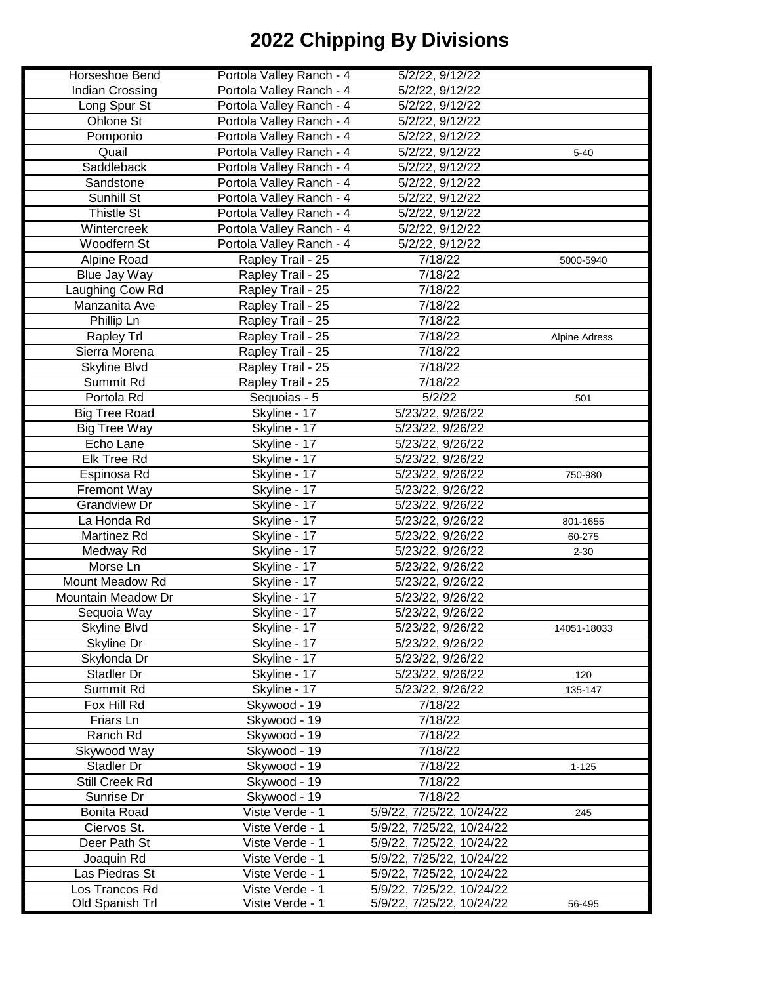| Horseshoe Bend       | Portola Valley Ranch - 4 | 5/2/22, 9/12/22           |                      |
|----------------------|--------------------------|---------------------------|----------------------|
| Indian Crossing      | Portola Valley Ranch - 4 | 5/2/22, 9/12/22           |                      |
| Long Spur St         | Portola Valley Ranch - 4 | 5/2/22, 9/12/22           |                      |
| Ohlone St            | Portola Valley Ranch - 4 | 5/2/22, 9/12/22           |                      |
| Pomponio             | Portola Valley Ranch - 4 | 5/2/22, 9/12/22           |                      |
| Quail                |                          |                           |                      |
|                      | Portola Valley Ranch - 4 | 5/2/22, 9/12/22           | $5 - 40$             |
| Saddleback           | Portola Valley Ranch - 4 | 5/2/22, 9/12/22           |                      |
| Sandstone            | Portola Valley Ranch - 4 | 5/2/22, 9/12/22           |                      |
| Sunhill St           | Portola Valley Ranch - 4 | 5/2/22, 9/12/22           |                      |
| Thistle St           | Portola Valley Ranch - 4 | 5/2/22, 9/12/22           |                      |
| Wintercreek          | Portola Valley Ranch - 4 | 5/2/22, 9/12/22           |                      |
| Woodfern St          | Portola Valley Ranch - 4 | 5/2/22, 9/12/22           |                      |
| Alpine Road          | Rapley Trail - 25        | 7/18/22                   | 5000-5940            |
| Blue Jay Way         | Rapley Trail - 25        | 7/18/22                   |                      |
| Laughing Cow Rd      | Rapley Trail - 25        | 7/18/22                   |                      |
| Manzanita Ave        | Rapley Trail - 25        | 7/18/22                   |                      |
| Phillip Ln           | Rapley Trail - 25        | 7/18/22                   |                      |
| Rapley Trl           | Rapley Trail - 25        | 7/18/22                   | <b>Alpine Adress</b> |
| Sierra Morena        | Rapley Trail - 25        | 7/18/22                   |                      |
| Skyline Blvd         | Rapley Trail - 25        | 7/18/22                   |                      |
| Summit Rd            | Rapley Trail - 25        | 7/18/22                   |                      |
| Portola Rd           | Sequoias - 5             | 5/2/22                    | 501                  |
| <b>Big Tree Road</b> | Skyline - 17             | 5/23/22, 9/26/22          |                      |
| <b>Big Tree Way</b>  | Skyline - 17             | 5/23/22, 9/26/22          |                      |
| Echo Lane            | Skyline - 17             | 5/23/22, 9/26/22          |                      |
| Elk Tree Rd          | Skyline - 17             |                           |                      |
|                      |                          | 5/23/22, 9/26/22          |                      |
| Espinosa Rd          | Skyline - 17             | 5/23/22, 9/26/22          | 750-980              |
| <b>Fremont Way</b>   | Skyline - 17             | 5/23/22, 9/26/22          |                      |
| <b>Grandview Dr</b>  | Skyline - 17             | 5/23/22, 9/26/22          |                      |
| La Honda Rd          | Skyline - 17             | 5/23/22, 9/26/22          | 801-1655             |
| Martinez Rd          | Skyline - 17             | 5/23/22, 9/26/22          | 60-275               |
| Medway Rd            | Skyline - 17             | 5/23/22, 9/26/22          | $2 - 30$             |
| Morse Ln             | Skyline - 17             | 5/23/22, 9/26/22          |                      |
| Mount Meadow Rd      | Skyline - 17             | 5/23/22, 9/26/22          |                      |
| Mountain Meadow Dr   | Skyline - 17             | 5/23/22, 9/26/22          |                      |
| Sequoia Way          | Skyline - 17             | 5/23/22, 9/26/22          |                      |
| <b>Skyline Blvd</b>  | Skyline - 17             | 5/23/22, 9/26/22          | 14051-18033          |
| Skyline Dr           | Skyline - 17             | 5/23/22, 9/26/22          |                      |
| Skylonda Dr          | Skyline - 17             | 5/23/22, 9/26/22          |                      |
| Stadler Dr           | Skyline - 17             | 5/23/22, 9/26/22          | 120                  |
| Summit Rd            | Skyline - 17             | 5/23/22, 9/26/22          | 135-147              |
| Fox Hill Rd          | Skywood - 19             | 7/18/22                   |                      |
| Friars Ln            | Skywood - 19             | $\frac{1}{7}$ /18/22      |                      |
| Ranch Rd             | Skywood - 19             | 7/18/22                   |                      |
| Skywood Way          | Skywood - 19             | 7/18/22                   |                      |
| Stadler Dr           | Skywood - 19             | 7/18/22                   | $1 - 125$            |
| Still Creek Rd       | Skywood - 19             | 7/18/22                   |                      |
| Sunrise Dr           | Skywood - 19             | 7/18/22                   |                      |
| Bonita Road          | Viste Verde - 1          | 5/9/22, 7/25/22, 10/24/22 | 245                  |
| Ciervos St.          | Viste Verde - 1          |                           |                      |
|                      |                          | 5/9/22, 7/25/22, 10/24/22 |                      |
| Deer Path St         | Viste Verde - 1          | 5/9/22, 7/25/22, 10/24/22 |                      |
| Joaquin Rd           | Viste Verde - 1          | 5/9/22, 7/25/22, 10/24/22 |                      |
| Las Piedras St       | Viste Verde - 1          | 5/9/22, 7/25/22, 10/24/22 |                      |
| Los Trancos Rd       | Viste Verde - 1          | 5/9/22, 7/25/22, 10/24/22 |                      |
| Old Spanish Trl      | Viste Verde - 1          | 5/9/22, 7/25/22, 10/24/22 | 56-495               |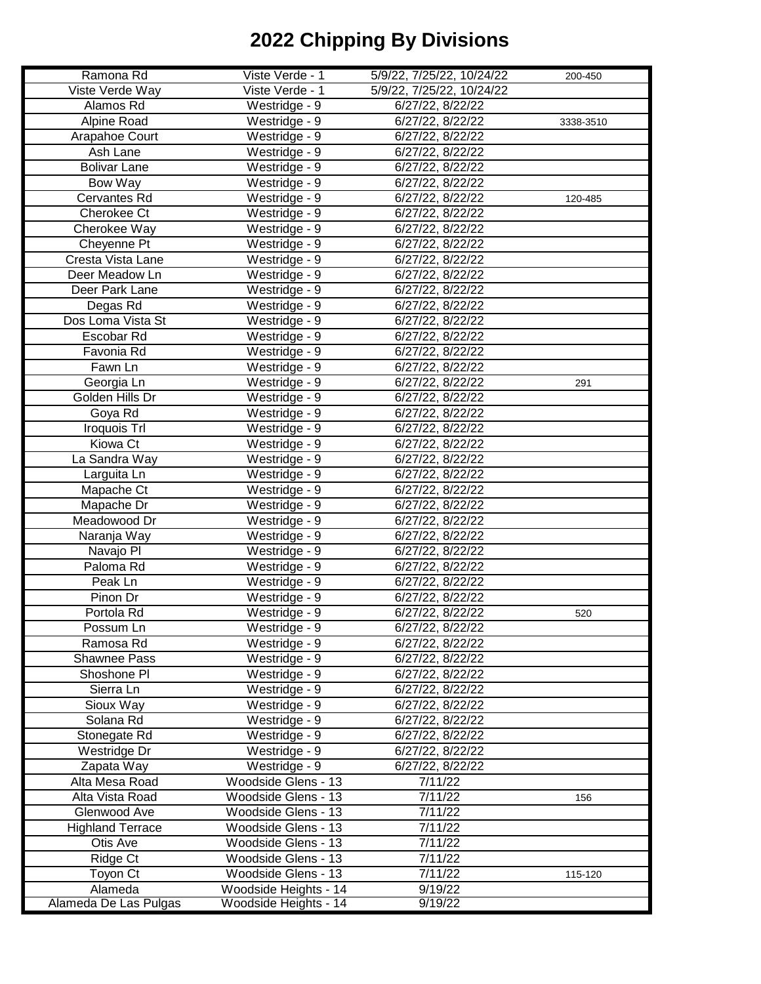| Ramona Rd               | Viste Verde - 1       | 5/9/22, 7/25/22, 10/24/22 | 200-450   |
|-------------------------|-----------------------|---------------------------|-----------|
| Viste Verde Way         | Viste Verde - 1       | 5/9/22, 7/25/22, 10/24/22 |           |
| Alamos Rd               | Westridge - 9         | 6/27/22, 8/22/22          |           |
| Alpine Road             | Westridge - 9         | 6/27/22, 8/22/22          | 3338-3510 |
| Arapahoe Court          | Westridge - 9         | 6/27/22, 8/22/22          |           |
| Ash Lane                | Westridge - 9         | 6/27/22, 8/22/22          |           |
| <b>Bolivar Lane</b>     | Westridge - 9         | 6/27/22, 8/22/22          |           |
| Bow Way                 | Westridge - 9         | 6/27/22, 8/22/22          |           |
| <b>Cervantes Rd</b>     | Westridge - 9         | 6/27/22, 8/22/22          | 120-485   |
| Cherokee Ct             | Westridge - 9         | 6/27/22, 8/22/22          |           |
| Cherokee Way            | Westridge - 9         | 6/27/22, 8/22/22          |           |
| Cheyenne Pt             | Westridge - 9         | 6/27/22, 8/22/22          |           |
| Cresta Vista Lane       | Westridge - 9         | 6/27/22, 8/22/22          |           |
| Deer Meadow Ln          | Westridge - 9         | 6/27/22, 8/22/22          |           |
| Deer Park Lane          | Westridge - 9         | 6/27/22, 8/22/22          |           |
| Degas Rd                | Westridge - 9         | 6/27/22, 8/22/22          |           |
| Dos Loma Vista St       | Westridge - 9         | 6/27/22, 8/22/22          |           |
| Escobar Rd              | Westridge - $9$       | 6/27/22, 8/22/22          |           |
| Favonia Rd              | Westridge - 9         | 6/27/22, 8/22/22          |           |
| Fawn Ln                 | Westridge - 9         | 6/27/22, 8/22/22          |           |
| Georgia Ln              | Westridge - 9         | 6/27/22, 8/22/22          | 291       |
| Golden Hills Dr         | Westridge - 9         | 6/27/22, 8/22/22          |           |
| Goya Rd                 | Westridge - 9         | 6/27/22, 8/22/22          |           |
| Iroquois Trl            | Westridge - 9         | 6/27/22, 8/22/22          |           |
| Kiowa Ct                | Westridge - 9         | 6/27/22, 8/22/22          |           |
| La Sandra Way           | Westridge - 9         | 6/27/22, 8/22/22          |           |
| Larguita Ln             | Westridge - $9$       | 6/27/22, 8/22/22          |           |
| Mapache Ct              | Westridge - 9         | 6/27/22, 8/22/22          |           |
| Mapache Dr              | Westridge - 9         | 6/27/22, 8/22/22          |           |
| Meadowood Dr            | Westridge - 9         | 6/27/22, 8/22/22          |           |
| Naranja Way             | Westridge - 9         | 6/27/22, 8/22/22          |           |
| Navajo PI               | Westridge - 9         | 6/27/22, 8/22/22          |           |
| Paloma Rd               | Westridge - 9         | 6/27/22, 8/22/22          |           |
| Peak Ln                 | Westridge - 9         | 6/27/22, 8/22/22          |           |
| Pinon Dr                | Westridge - 9         | 6/27/22, 8/22/22          |           |
| Portola Rd              | Westridge - 9         | 6/27/22, 8/22/22          | 520       |
| Possum Ln               | Westridge - 9         | 6/27/22, 8/22/22          |           |
| Ramosa Rd               | Westridge - 9         | 6/27/22, 8/22/22          |           |
| Shawnee Pass            | Westridge - 9         | 6/27/22, 8/22/22          |           |
| Shoshone PI             | Westridge - 9         | 6/27/22, 8/22/22          |           |
| Sierra Ln               | Westridge - 9         | 6/27/22, 8/22/22          |           |
| Sioux Way               | Westridge - 9         | 6/27/22, 8/22/22          |           |
| Solana Rd               | Westridge - 9         | 6/27/22, 8/22/22          |           |
| Stonegate Rd            | Westridge - 9         | 6/27/22, 8/22/22          |           |
| Westridge Dr            | Westridge - 9         | 6/27/22, 8/22/22          |           |
| Zapata Way              | Westridge - 9         | 6/27/22, 8/22/22          |           |
| Alta Mesa Road          | Woodside Glens - 13   | 7/11/22                   |           |
| Alta Vista Road         | Woodside Glens - 13   | 7/11/22                   | 156       |
| Glenwood Ave            | Woodside Glens - 13   | 7/11/22                   |           |
| <b>Highland Terrace</b> | Woodside Glens - 13   | 7/11/22                   |           |
| Otis Ave                | Woodside Glens - 13   | 7/11/22                   |           |
| Ridge Ct                | Woodside Glens - 13   | 7/11/22                   |           |
| Toyon Ct                | Woodside Glens - 13   | 7/11/22                   | 115-120   |
| Alameda                 | Woodside Heights - 14 | 9/19/22                   |           |
| Alameda De Las Pulgas   | Woodside Heights - 14 | 9/19/22                   |           |
|                         |                       |                           |           |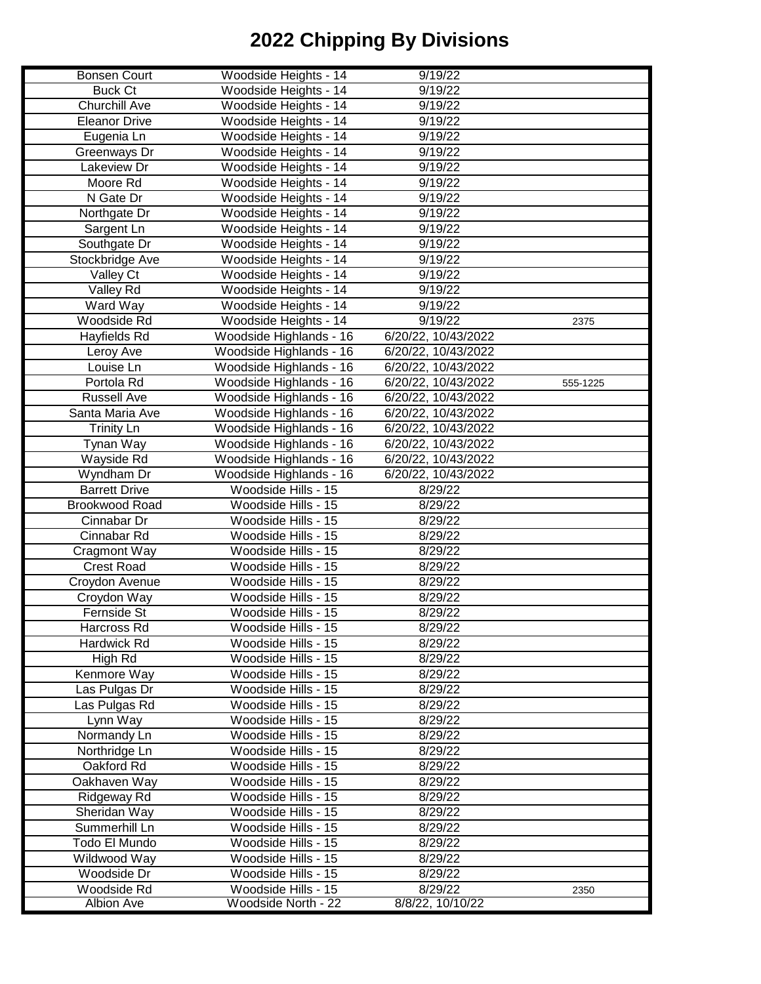| <b>Bonsen Court</b>        | Woodside Heights - 14                      | 9/19/22             |          |
|----------------------------|--------------------------------------------|---------------------|----------|
| <b>Buck Ct</b>             | Woodside Heights - 14                      | 9/19/22             |          |
| <b>Churchill Ave</b>       | Woodside Heights - 14                      | 9/19/22             |          |
| <b>Eleanor Drive</b>       | Woodside Heights - 14                      | 9/19/22             |          |
| Eugenia Ln                 | Woodside Heights - 14                      | 9/19/22             |          |
| Greenways Dr               | Woodside Heights - 14                      | 9/19/22             |          |
| Lakeview Dr                | Woodside Heights - 14                      | 9/19/22             |          |
| Moore Rd                   | Woodside Heights - 14                      | 9/19/22             |          |
| N Gate Dr                  | Woodside Heights - 14                      | 9/19/22             |          |
| Northgate Dr               | Woodside Heights - 14                      | 9/19/22             |          |
| Sargent Ln                 | Woodside Heights - 14                      | 9/19/22             |          |
| Southgate Dr               | Woodside Heights - 14                      | 9/19/22             |          |
| Stockbridge Ave            | Woodside Heights - 14                      | 9/19/22             |          |
| Valley Ct                  | Woodside Heights - 14                      | 9/19/22             |          |
| Valley Rd                  | Woodside Heights - 14                      | 9/19/22             |          |
| Ward Way                   | Woodside Heights - 14                      | 9/19/22             |          |
| Woodside Rd                | Woodside Heights - 14                      | 9/19/22             | 2375     |
| Hayfields Rd               | Woodside Highlands - 16                    | 6/20/22, 10/43/2022 |          |
| Leroy Ave                  | Woodside Highlands - 16                    | 6/20/22, 10/43/2022 |          |
| Louise Ln                  | Woodside Highlands - 16                    | 6/20/22, 10/43/2022 |          |
| Portola Rd                 | Woodside Highlands - 16                    | 6/20/22, 10/43/2022 | 555-1225 |
| <b>Russell Ave</b>         | Woodside Highlands - 16                    | 6/20/22, 10/43/2022 |          |
| Santa Maria Ave            | Woodside Highlands - 16                    | 6/20/22, 10/43/2022 |          |
| <b>Trinity Ln</b>          | Woodside Highlands - 16                    | 6/20/22, 10/43/2022 |          |
| Tynan Way                  | Woodside Highlands - 16                    | 6/20/22, 10/43/2022 |          |
| Wayside Rd                 | Woodside Highlands - 16                    | 6/20/22, 10/43/2022 |          |
| Wyndham Dr                 | Woodside Highlands - 16                    | 6/20/22, 10/43/2022 |          |
| <b>Barrett Drive</b>       | Woodside Hills - 15                        | 8/29/22             |          |
| <b>Brookwood Road</b>      | Woodside Hills - 15                        | 8/29/22             |          |
| Cinnabar Dr                | Woodside Hills - 15                        | 8/29/22             |          |
| Cinnabar Rd                | Woodside Hills - 15                        | 8/29/22             |          |
| Cragmont Way               | Woodside Hills - 15                        | 8/29/22             |          |
| <b>Crest Road</b>          | Woodside Hills - 15                        | 8/29/22             |          |
| Croydon Avenue             | Woodside Hills - 15                        | 8/29/22             |          |
| Croydon Way                | Woodside Hills - 15                        | 8/29/22             |          |
| Fernside St                | Woodside Hills - 15                        | 8/29/22             |          |
|                            |                                            | 8/29/22             |          |
| Harcross Rd<br>Hardwick Rd | Woodside Hills - 15<br>Woodside Hills - 15 | 8/29/22             |          |
|                            | Woodside Hills - 15                        |                     |          |
| High Rd                    |                                            | 8/29/22             |          |
| Kenmore Way                | Woodside Hills - 15                        | 8/29/22             |          |
| Las Pulgas Dr              | Woodside Hills - 15                        | 8/29/22             |          |
| Las Pulgas Rd              | Woodside Hills - 15                        | 8/29/22             |          |
| Lynn Way                   | Woodside Hills - 15                        | 8/29/22             |          |
| Normandy Ln                | Woodside Hills - 15                        | 8/29/22             |          |
| Northridge Ln              | Woodside Hills - 15                        | 8/29/22             |          |
| Oakford Rd                 | Woodside Hills - 15                        | 8/29/22             |          |
| Oakhaven Way               | Woodside Hills - 15                        | 8/29/22             |          |
| Ridgeway Rd                | Woodside Hills - 15                        | 8/29/22             |          |
| Sheridan Way               | Woodside Hills - 15                        | 8/29/22             |          |
| Summerhill Ln              | Woodside Hills - 15                        | 8/29/22             |          |
| Todo El Mundo              | Woodside Hills - 15                        | 8/29/22             |          |
| Wildwood Way               | Woodside Hills - 15                        | 8/29/22             |          |
| Woodside Dr                | Woodside Hills - 15                        | 8/29/22             |          |
| Woodside Rd                | Woodside Hills - 15                        | 8/29/22             | 2350     |
| Albion Ave                 | Woodside North - 22                        | 8/8/22, 10/10/22    |          |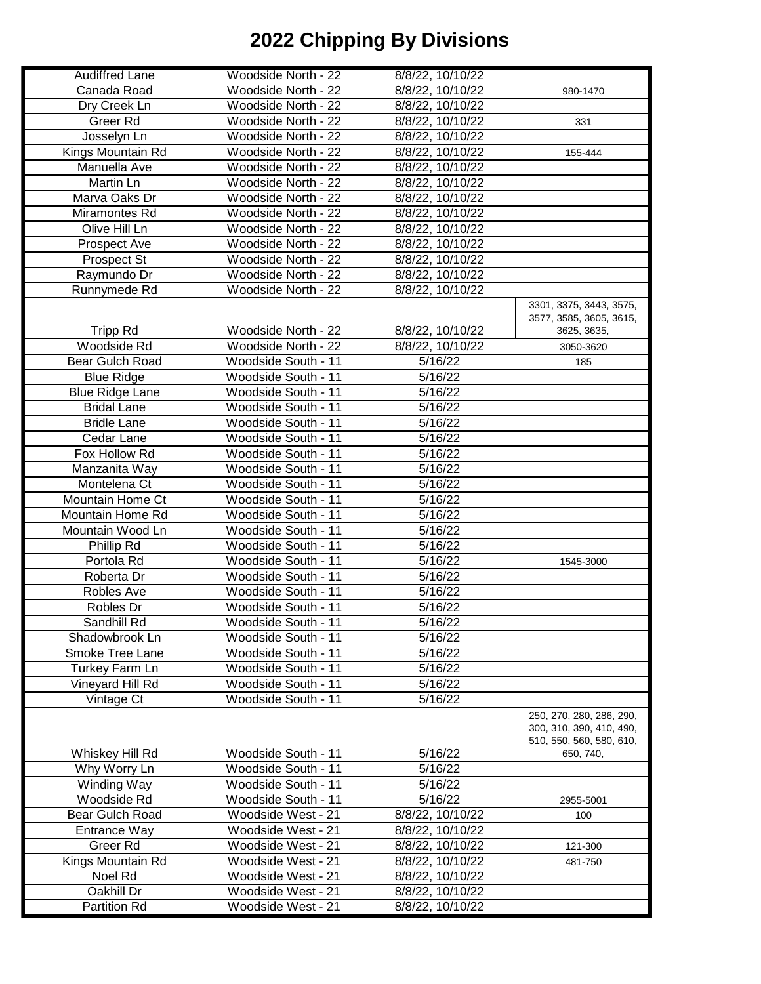| <b>Audiffred Lane</b>  | Woodside North - 22 | 8/8/22, 10/10/22 |                                                      |
|------------------------|---------------------|------------------|------------------------------------------------------|
| Canada Road            | Woodside North - 22 | 8/8/22, 10/10/22 | 980-1470                                             |
| Dry Creek Ln           | Woodside North - 22 | 8/8/22, 10/10/22 |                                                      |
| Greer Rd               | Woodside North - 22 | 8/8/22, 10/10/22 | 331                                                  |
| Josselyn Ln            | Woodside North - 22 | 8/8/22, 10/10/22 |                                                      |
| Kings Mountain Rd      | Woodside North - 22 | 8/8/22, 10/10/22 | 155-444                                              |
| Manuella Ave           | Woodside North - 22 | 8/8/22, 10/10/22 |                                                      |
| Martin Ln              | Woodside North - 22 | 8/8/22, 10/10/22 |                                                      |
| Marva Oaks Dr          | Woodside North - 22 | 8/8/22, 10/10/22 |                                                      |
|                        |                     |                  |                                                      |
| Miramontes Rd          | Woodside North - 22 | 8/8/22, 10/10/22 |                                                      |
| Olive Hill Ln          | Woodside North - 22 | 8/8/22, 10/10/22 |                                                      |
| Prospect Ave           | Woodside North - 22 | 8/8/22, 10/10/22 |                                                      |
| Prospect St            | Woodside North - 22 | 8/8/22, 10/10/22 |                                                      |
| Raymundo Dr            | Woodside North - 22 | 8/8/22, 10/10/22 |                                                      |
| Runnymede Rd           | Woodside North - 22 | 8/8/22, 10/10/22 |                                                      |
|                        |                     |                  | 3301, 3375, 3443, 3575,                              |
|                        |                     |                  | 3577, 3585, 3605, 3615,                              |
| <b>Tripp Rd</b>        | Woodside North - 22 | 8/8/22, 10/10/22 | 3625, 3635,                                          |
| Woodside Rd            | Woodside North - 22 | 8/8/22, 10/10/22 | 3050-3620                                            |
| Bear Gulch Road        | Woodside South - 11 | 5/16/22          | 185                                                  |
| <b>Blue Ridge</b>      | Woodside South - 11 | 5/16/22          |                                                      |
| <b>Blue Ridge Lane</b> | Woodside South - 11 | 5/16/22          |                                                      |
| <b>Bridal Lane</b>     | Woodside South - 11 | 5/16/22          |                                                      |
| <b>Bridle Lane</b>     | Woodside South - 11 | 5/16/22          |                                                      |
| Cedar Lane             | Woodside South - 11 | 5/16/22          |                                                      |
| Fox Hollow Rd          | Woodside South - 11 | 5/16/22          |                                                      |
| Manzanita Way          | Woodside South - 11 | 5/16/22          |                                                      |
| Montelena Ct           | Woodside South - 11 | 5/16/22          |                                                      |
| Mountain Home Ct       | Woodside South - 11 | 5/16/22          |                                                      |
| Mountain Home Rd       | Woodside South - 11 | 5/16/22          |                                                      |
| Mountain Wood Ln       | Woodside South - 11 | 5/16/22          |                                                      |
| Phillip Rd             | Woodside South - 11 | 5/16/22          |                                                      |
| Portola Rd             | Woodside South - 11 | 5/16/22          | 1545-3000                                            |
| Roberta Dr             | Woodside South - 11 | 5/16/22          |                                                      |
| Robles Ave             | Woodside South - 11 | 5/16/22          |                                                      |
| Robles Dr              | Woodside South - 11 | 5/16/22          |                                                      |
| Sandhill Rd            | Woodside South - 11 | 5/16/22          |                                                      |
| Shadowbrook Ln         | Woodside South - 11 | 5/16/22          |                                                      |
| <b>Smoke Tree Lane</b> | Woodside South - 11 | 5/16/22          |                                                      |
| <b>Turkey Farm Ln</b>  | Woodside South - 11 | 5/16/22          |                                                      |
| Vineyard Hill Rd       | Woodside South - 11 | 5/16/22          |                                                      |
| Vintage Ct             | Woodside South - 11 | 5/16/22          |                                                      |
|                        |                     |                  |                                                      |
|                        |                     |                  | 250, 270, 280, 286, 290,                             |
|                        |                     |                  | 300, 310, 390, 410, 490,<br>510, 550, 560, 580, 610, |
| Whiskey Hill Rd        | Woodside South - 11 | 5/16/22          | 650, 740,                                            |
| Why Worry Ln           | Woodside South - 11 | 5/16/22          |                                                      |
| Winding Way            | Woodside South - 11 | 5/16/22          |                                                      |
| Woodside Rd            | Woodside South - 11 | 5/16/22          | 2955-5001                                            |
| Bear Gulch Road        | Woodside West - 21  | 8/8/22, 10/10/22 | 100                                                  |
| Entrance Way           | Woodside West - 21  | 8/8/22, 10/10/22 |                                                      |
| Greer <sub>Rd</sub>    | Woodside West - 21  | 8/8/22, 10/10/22 | 121-300                                              |
| Kings Mountain Rd      | Woodside West - 21  | 8/8/22, 10/10/22 | 481-750                                              |
| Noel Rd                | Woodside West - 21  | 8/8/22, 10/10/22 |                                                      |
|                        |                     |                  |                                                      |
| Oakhill Dr             | Woodside West - 21  | 8/8/22, 10/10/22 |                                                      |
| Partition Rd           | Woodside West - 21  | 8/8/22, 10/10/22 |                                                      |